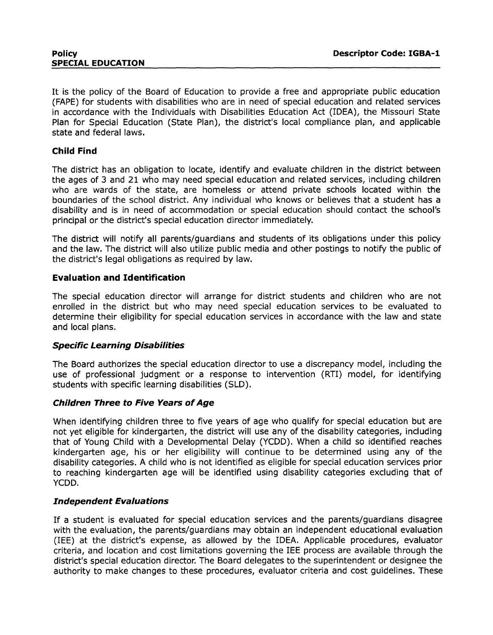It is the policy of the Board of Education to provide a free and appropriate public education (FAPE) for students with disabilities who are in need of special education and related services in accordance with the Individuals with Disabilities Education Act (IDEA), the Missouri State Plan for Special Education (State Plan), the district's local compliance plan, and applicable state and federal laws.

## **Child Find**

The district has an obligation to locate, identify and evaluate children in the district between the ages of 3 and 21 who may need special education and related services, including children who are wards of the state, are homeless or attend private schools located within the boundaries of the school district. Any individual who knows or believes that a student has a disability and is in need of accommodation or special education should contact the school's principal or the district's special education director immediately.

The district will notify all parents/guardians and students of its obligations under this policy and the law. The district will also utilize public media and other postings to notify the public of the district's legal obligations as required by law.

## **Evaluation and Identification**

The special education director will arrange for district students and children who are not enrolled in the district but who may need special education services to be evaluated to determine their eligibility for special education services in accordance with the law and state and local plans.

### **Specific Learning Disabilities**

The Board authorizes the special education director to use a discrepancy model, including the use of professional judgment or a response to intervention (RTI) model, for identifying students with specific learning disabilities (SLD).

### **Children Three to Five Years of Age**

When identifying children three to five years of age who qualify for special education but are not yet eligible for kindergarten, the district will use any of the disability categories, including that of Young Child with a Developmental Delay (YCDD). When a child so identified reaches kindergarten age, his or her eligibility will continue to be determined using any of the disability categories. A child who is not identified as eligible for special education services prior to reaching kindergarten age will be identified using disability categories excluding that of YCDD.

### **Independent Evaluations**

If a student is evaluated for special education services and the parents/guardians disagree with the evaluation, the parents/guardians may obtain an independent educational evaluation (IEE) at the district's expense, as allowed by the IDEA. Applicable procedures, evaluator criteria, and location and cost limitations governing the IEE process are available through the district's special education director. The Board delegates to the superintendent or designee the authority to make changes to these procedures, evaluator criteria and cost guidelines. These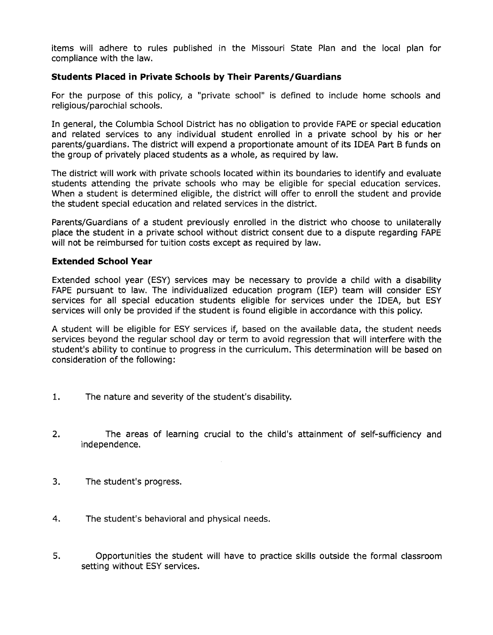items will adhere to rules published in the Missouri State Plan and the local plan for compliance with the law.

## **Students Placed in Private Schools by Their Parents/Guardians**

For the purpose of this policy, a "private school" is defined to include home schools and religious/parochial schools.

In general, the Columbia School District has no obligation to provide FAPE or special education and related services to any individual student enrolled in a private school by his or her parents/guardians. The district will expend a proportionate amount of its IDEA Part B funds on the group of privately placed students as a whole, as required by law.

The district will work with private schools located within its boundaries to identify and evaluate students attending the private schools who may be eligible for special education services. When a student is determined eligible, the district will offer to enroll the student and provide the student special education and related services in the district.

Parents/Guardians of a student previously enrolled in the district who choose to unilaterally place the student in a private school without district consent due to a dispute regarding FAPE will not be reimbursed for tuition costs except as required by law.

### **Extended School Year**

Extended school year (ESY) services may be necessary to provide a child with a disability FAPE pursuant to law. The individualized education program (IEP) team will consider ESY services for all special education students eligible for services under the IDEA, but ESY services will only be provided if the student is found eligible in accordance with this policy.

A student will be eligible for ESY services if, based on the available data, the student needs services beyond the regular school day or term to avoid regression that will interfere with the student's ability to continue to progress in the curriculum. This determination will be based on consideration of the following:

- 1. The nature and severity of the student's disability.
- 2. The areas of learning crucial to the child's attainment of self-sufficiency and independence.
- 3. The student's progress.
- 4. The student's behavioral and physical needs.
- 5. Opportunities the student will have to practice skills outside the formal classroom setting without ESY services.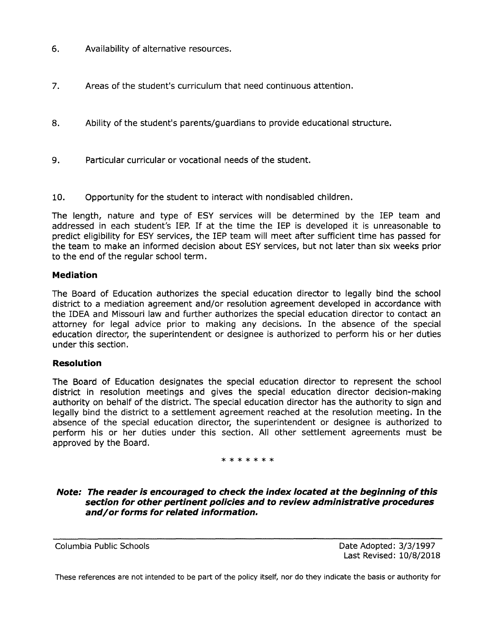- 6. Availability of alternative resources.
- 7. Areas of the student's curriculum that need continuous attention.
- 8. Ability of the student's parents/guardians to provide educational structure.
- 9. Particular curricular or vocational needs of the student.
- 10. Opportunity for the student to interact with nondisabled children.

The length, nature and type of ESY services will be determined by the IEP team and addressed in each student's IEP. If at the time the IEP is developed it is unreasonable to predict eligibility for ESY services, the IEP team will meet after sufficient time has passed for the team to make an informed decision about ESY services, but not later than six weeks prior to the end of the regular school term.

## **Mediation**

The Board of Education authorizes the special education director to legally bind the school district to a mediation agreement and/or resolution agreement developed in accordance with the IDEA and Missouri law and further authorizes the special education director to contact an attorney for legal advice prior to making any decisions. In the absence of the special education director, the superintendent or designee is authorized to perform his or her duties under this section.

## **Resolution**

The Board of Education designates the special education director to represent the school district in resolution meetings and gives the special education director decision-making authority on behalf of the district. The special education director has the authority to sign and legally bind the district to a settlement agreement reached at the resolution meeting. In the absence of the special education director, the superintendent or designee is authorized to perform his or her duties under this section. All other settlement agreements must be approved by the Board.

### \*\*\*\*\*\*\*

**Note: The reader is encouraged to check the index located at the beginning of this section for other pertinent policies and to review administrative procedures and/or forms for related information.** 

Columbia Public Schools Date Adopted: 3/3/1997 Last Revised: 10/8/2018

These references are not intended to be part of the policy itself, nor do they indicate the basis or authority for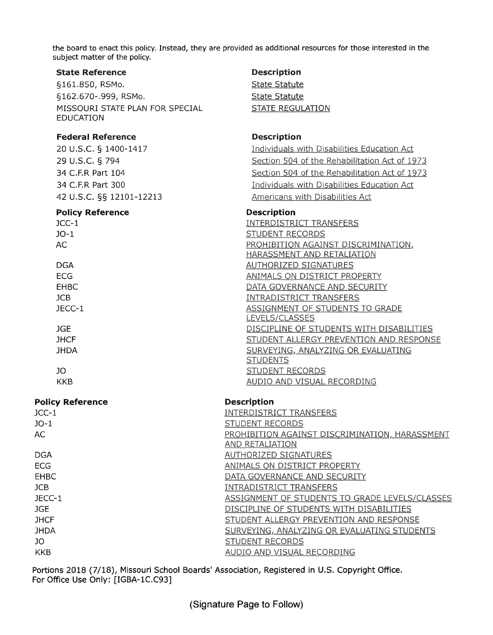the board to enact this policy. Instead, they are provided as additional resources for those interested in the subject matter of the policy.

#### State Reference

§161.850, RSMo. §162.670-.999, RSMo. MISSOURI STATE PLAN FOR SPECIAL EDUCATION

## Federal Reference

20 u.s.c. § 1400-1417 29 u.s.c. § 794 34 C.F.R Part 104 34 C.F.R Part 300 42 u.s.c. §§ 12101-12213

#### Policy Reference

JCC-1 J0-1 AC DGA ECG EHBC JCB JECC-1 JGE **JHCF JHDA** 

JO KKB

## Policy Reference

# LEVELS/CLASSES **STUDENTS** STUDENT RECORDS AUDIO AND VISUAL RECORDING **Description**

| <b>E AILLA IZELAI ANDE</b> | <u>Maanihani</u>                               |
|----------------------------|------------------------------------------------|
| JCC-1                      | <b>INTERDISTRICT TRANSFERS</b>                 |
| $JO-1$                     | <b>STUDENT RECORDS</b>                         |
| AC.                        | PROHIBITION AGAINST DISCRIMINATION, HARASSMENT |
|                            | <b>AND RETALIATION</b>                         |
| <b>DGA</b>                 | <b>AUTHORIZED SIGNATURES</b>                   |
| ECG.                       | ANIMALS ON DISTRICT PROPERTY                   |
| <b>EHBC</b>                | DATA GOVERNANCE AND SECURITY                   |
| <b>JCB</b>                 | <b>INTRADISTRICT TRANSFERS</b>                 |
| JECC-1                     | ASSIGNMENT OF STUDENTS TO GRADE LEVELS/CLASSES |
| <b>JGE</b>                 | DISCIPLINE OF STUDENTS WITH DISABILITIES       |
| <b>JHCF</b>                | STUDENT ALLERGY PREVENTION AND RESPONSE        |
| <b>JHDA</b>                | SURVEYING, ANALYZING OR EVALUATING STUDENTS    |
| JO.                        | <b>STUDENT RECORDS</b>                         |
| <b>KKB</b>                 | AUDIO AND VISUAL RECORDING                     |
|                            |                                                |

Portions 2018 (7/18), Missouri School Boards' Association, Registered in U.S. Copyright Office. For Office Use Only: [IGBA-1C.C93]

State Statute State Statute STATE REGULATION

### Description

Individuals with Disabilities Education Act Section 504 of the Rehabilitation Act of 1973 Section 504 of the Rehabilitation Act of 1973 Individuals with Disabilities Education Act Americans with Disabilities Act

### Description

**INTERDISTRICT TRANSFERS** STUDENT RECORDS PROHIBITION AGAINST DISCRIMINATION, HARASSMENT AND RETALIATION **AUTHORIZED SIGNATURES** ANIMALS ON DISTRICT PROPERTY DATA GOVERNANCE AND SECURITY **INTRADISTRICT TRANSFERS** ASSIGNMENT OF STUDENTS TO GRADE DISCIPLINE OF STUDENTS WITH DISABILITIES STUDENT ALLERGY PREVENTION AND RESPONSE SURVEYING, ANALYZING OR EVALUATING